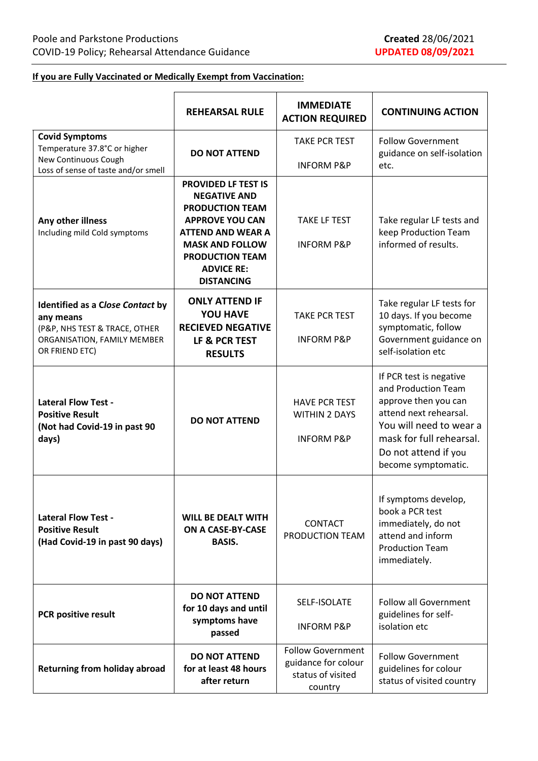## **If you are Fully Vaccinated or Medically Exempt from Vaccination:**

|                                                                                                                                 | <b>REHEARSAL RULE</b>                                                                                                                                                                                                           | <b>IMMEDIATE</b><br><b>ACTION REQUIRED</b>                                      | <b>CONTINUING ACTION</b>                                                                                                                                                                               |
|---------------------------------------------------------------------------------------------------------------------------------|---------------------------------------------------------------------------------------------------------------------------------------------------------------------------------------------------------------------------------|---------------------------------------------------------------------------------|--------------------------------------------------------------------------------------------------------------------------------------------------------------------------------------------------------|
| <b>Covid Symptoms</b><br>Temperature 37.8°C or higher<br>New Continuous Cough<br>Loss of sense of taste and/or smell            | <b>DO NOT ATTEND</b>                                                                                                                                                                                                            | <b>TAKE PCR TEST</b><br><b>INFORM P&amp;P</b>                                   | <b>Follow Government</b><br>guidance on self-isolation<br>etc.                                                                                                                                         |
| Any other illness<br>Including mild Cold symptoms                                                                               | <b>PROVIDED LF TEST IS</b><br><b>NEGATIVE AND</b><br><b>PRODUCTION TEAM</b><br><b>APPROVE YOU CAN</b><br><b>ATTEND AND WEAR A</b><br><b>MASK AND FOLLOW</b><br><b>PRODUCTION TEAM</b><br><b>ADVICE RE:</b><br><b>DISTANCING</b> | <b>TAKE LF TEST</b><br><b>INFORM P&amp;P</b>                                    | Take regular LF tests and<br>keep Production Team<br>informed of results.                                                                                                                              |
| Identified as a Close Contact by<br>any means<br>(P&P, NHS TEST & TRACE, OTHER<br>ORGANISATION, FAMILY MEMBER<br>OR FRIEND ETC) | <b>ONLY ATTEND IF</b><br><b>YOU HAVE</b><br><b>RECIEVED NEGATIVE</b><br>LF & PCR TEST<br><b>RESULTS</b>                                                                                                                         | <b>TAKE PCR TEST</b><br><b>INFORM P&amp;P</b>                                   | Take regular LF tests for<br>10 days. If you become<br>symptomatic, follow<br>Government guidance on<br>self-isolation etc                                                                             |
| <b>Lateral Flow Test -</b><br><b>Positive Result</b><br>(Not had Covid-19 in past 90<br>days)                                   | <b>DO NOT ATTEND</b>                                                                                                                                                                                                            | <b>HAVE PCR TEST</b><br><b>WITHIN 2 DAYS</b><br><b>INFORM P&amp;P</b>           | If PCR test is negative<br>and Production Team<br>approve then you can<br>attend next rehearsal.<br>You will need to wear a<br>mask for full rehearsal.<br>Do not attend if you<br>become symptomatic. |
| <b>Lateral Flow Test -</b><br><b>Positive Result</b><br>(Had Covid-19 in past 90 days)                                          | <b>WILL BE DEALT WITH</b><br>ON A CASE-BY-CASE<br><b>BASIS.</b>                                                                                                                                                                 | CONTACT<br>PRODUCTION TEAM                                                      | If symptoms develop,<br>book a PCR test<br>immediately, do not<br>attend and inform<br><b>Production Team</b><br>immediately.                                                                          |
| <b>PCR positive result</b>                                                                                                      | <b>DO NOT ATTEND</b><br>for 10 days and until<br>symptoms have<br>passed                                                                                                                                                        | SELF-ISOLATE<br><b>INFORM P&amp;P</b>                                           | <b>Follow all Government</b><br>guidelines for self-<br>isolation etc                                                                                                                                  |
| <b>Returning from holiday abroad</b>                                                                                            | <b>DO NOT ATTEND</b><br>for at least 48 hours<br>after return                                                                                                                                                                   | <b>Follow Government</b><br>guidance for colour<br>status of visited<br>country | <b>Follow Government</b><br>guidelines for colour<br>status of visited country                                                                                                                         |